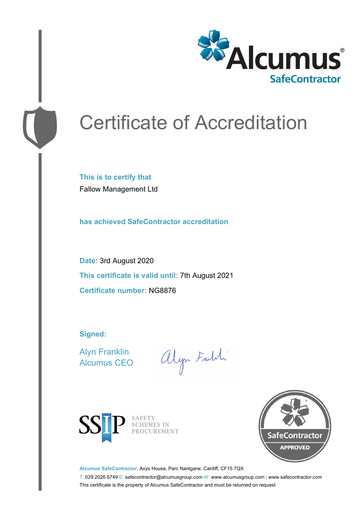

# Certificate of Accreditation

**This is to certify that** Fallow Management Ltd

**has achieved SafeContractor accreditation**

**Date:** 3rd August 2020 **This certificate is valid until:** 7th August 2021 **Certificate number:** NG8876

**Signed:**

Alyn Franklin Alcumus CEO

alyn Faith



SAFETY<br>SCHEMES IN PROCUREMENT



**Alcumus SafeContractor,** Axys House, Parc Nantgarw, Cardiff, CF15 7QX

T: 029 2026 6749 E: safecontractor@alcumusgroup.com W: www.alcumusgroup.com | www.safecontractor.com This certificate is the property of Alcumus SafeContractor and must be returned on request